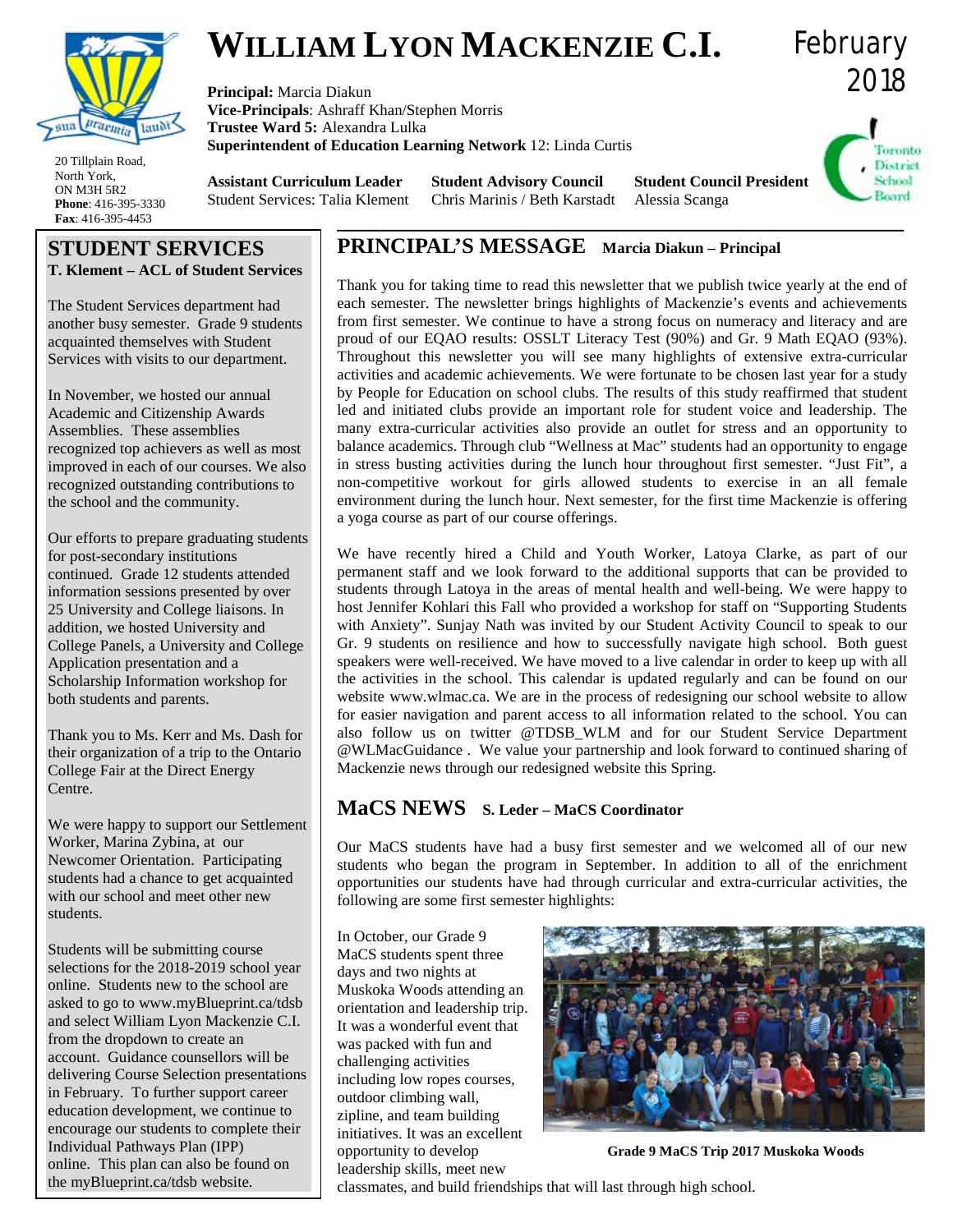

# **WILLIAM LYON MACKENZIE C.I.**

**Principal:** Marcia Diakun **Vice-Principals**: Ashraff Khan/Stephen Morris **Trustee Ward 5:** Alexandra Lulka **Superintendent of Education Learning Network** 12: Linda Curtis 2018 Toronto **District** School

Board

February

20 Tillplain Road North York, ON M3H 5R2 **Phone**: 416-395-3330 **Fax**: 416-395-4453

**Assistant Curriculum Leader** Student Services: Talia Klement **\_\_\_\_\_\_\_\_\_\_\_\_\_\_\_\_\_\_\_\_\_\_\_\_\_\_\_\_\_\_\_\_\_\_\_\_\_\_\_\_\_\_\_\_\_\_\_\_\_\_\_\_**

**Student Advisory Council** Chris Marinis / Beth Karstadt **Student Council President** Alessia Scanga

# **STUDENT SERVICES T. Klement – ACL of Student Services**

The Student Services department had another busy semester. Grade 9 students acquainted themselves with Student Services with visits to our department.

In November, we hosted our annual Academic and Citizenship Awards Assemblies. These assemblies recognized top achievers as well as most improved in each of our courses. We also recognized outstanding contributions to the school and the community.

Our efforts to prepare graduating students for post-secondary institutions continued. Grade 12 students attended information sessions presented by over 25 University and College liaisons. In addition, we hosted University and College Panels, a University and College Application presentation and a Scholarship Information workshop for both students and parents.

Thank you to Ms. Kerr and Ms. Dash for their organization of a trip to the Ontario College Fair at the Direct Energy Centre.

We were happy to support our Settlement Worker, Marina Zybina, at our Newcomer Orientation. Participating students had a chance to get acquainted with our school and meet other new students.

Students will be submitting course selections for the 2018-2019 school year online. Students new to the school are asked to go to www.myBlueprint.ca/tdsb and select William Lyon Mackenzie C.I. from the dropdown to create an account. Guidance counsellors will be delivering Course Selection presentations in February. To further support career education development, we continue to encourage our students to complete their Individual Pathways Plan (IPP) online. This plan can also be found on the myBlueprint.ca/tdsb website.

# **PRINCIPAL'S MESSAGE Marcia Diakun – Principal**

Thank you for taking time to read this newsletter that we publish twice yearly at the end of each semester. The newsletter brings highlights of Mackenzie's events and achievements from first semester. We continue to have a strong focus on numeracy and literacy and are proud of our EQAO results: OSSLT Literacy Test (90%) and Gr. 9 Math EQAO (93%). Throughout this newsletter you will see many highlights of extensive extra-curricular activities and academic achievements. We were fortunate to be chosen last year for a study by People for Education on school clubs. The results of this study reaffirmed that student led and initiated clubs provide an important role for student voice and leadership. The many extra-curricular activities also provide an outlet for stress and an opportunity to balance academics. Through club "Wellness at Mac" students had an opportunity to engage in stress busting activities during the lunch hour throughout first semester. "Just Fit", a non-competitive workout for girls allowed students to exercise in an all female environment during the lunch hour. Next semester, for the first time Mackenzie is offering a yoga course as part of our course offerings.

We have recently hired a Child and Youth Worker, Latoya Clarke, as part of our permanent staff and we look forward to the additional supports that can be provided to students through Latoya in the areas of mental health and well-being. We were happy to host Jennifer Kohlari this Fall who provided a workshop for staff on "Supporting Students with Anxiety". Sunjay Nath was invited by our Student Activity Council to speak to our Gr. 9 students on resilience and how to successfully navigate high school. Both guest speakers were well-received. We have moved to a live calendar in order to keep up with all the activities in the school. This calendar is updated regularly and can be found on our website www.wlmac.ca. We are in the process of redesigning our school website to allow for easier navigation and parent access to all information related to the school. You can also follow us on twitter @TDSB\_WLM and for our Student Service Department @WLMacGuidance . We value your partnership and look forward to continued sharing of Mackenzie news through our redesigned website this Spring.

## **MaCS NEWS S. Leder – MaCS Coordinator**

Our MaCS students have had a busy first semester and we welcomed all of our new students who began the program in September. In addition to all of the enrichment opportunities our students have had through curricular and extra-curricular activities, the following are some first semester highlights:

In October, our Grade 9 MaCS students spent three days and two nights at Muskoka Woods attending an orientation and leadership trip. It was a wonderful event that was packed with fun and challenging activities including low ropes courses, outdoor climbing wall, zipline, and team building initiatives. It was an excellent opportunity to develop leadership skills, meet new



**Grade 9 MaCS Trip 2017 Muskoka Woods**

classmates, and build friendships that will last through high school.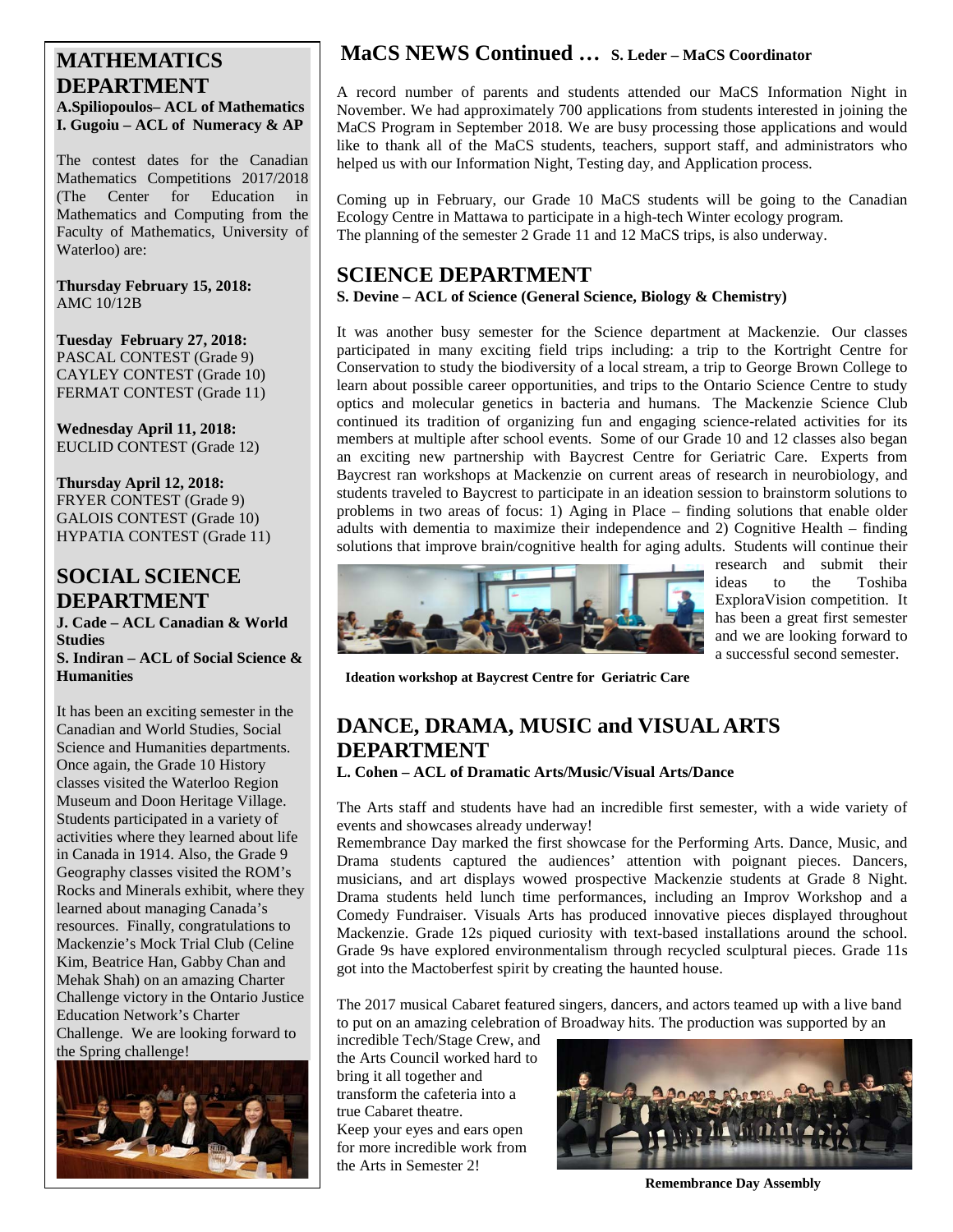### **MATHEMATICS DEPARTMENT A.Spiliopoulos– ACL of Mathematics I. Gugoiu – ACL of Numeracy & AP**

The contest dates for the Canadian Mathematics Competitions 2017/2018 (The Center for Education in Mathematics and Computing from the Faculty of Mathematics, University of Waterloo) are:

**Thursday February 15, 2018:** AMC 10/12B

**Tuesday February 27, 2018:** PASCAL CONTEST (Grade 9) CAYLEY CONTEST (Grade 10) FERMAT CONTEST (Grade 11)

**Wednesday April 11, 2018:** EUCLID CONTEST (Grade 12)

**Thursday April 12, 2018:** FRYER CONTEST (Grade 9) GALOIS CONTEST (Grade 10) HYPATIA CONTEST (Grade 11)

# **SOCIAL SCIENCE DEPARTMENT**

**J. Cade – ACL Canadian & World Studies S. Indiran – ACL of Social Science & Humanities**

It has been an exciting semester in the Canadian and World Studies, Social Science and Humanities departments. Once again, the Grade 10 History classes visited the Waterloo Region Museum and Doon Heritage Village. Students participated in a variety of activities where they learned about life in Canada in 1914. Also, the Grade 9 Geography classes visited the ROM's Rocks and Minerals exhibit, where they learned about managing Canada's resources. Finally, congratulations to Mackenzie's Mock Trial Club (Celine Kim, Beatrice Han, Gabby Chan and Mehak Shah) on an amazing Charter Challenge victory in the Ontario Justice Education Network's Charter Challenge. We are looking forward to the Spring challenge!



# **MaCS NEWS Continued … S. Leder – MaCS Coordinator**

A record number of parents and students attended our MaCS Information Night in November. We had approximately 700 applications from students interested in joining the MaCS Program in September 2018. We are busy processing those applications and would like to thank all of the MaCS students, teachers, support staff, and administrators who helped us with our Information Night, Testing day, and Application process.

Coming up in February, our Grade 10 MaCS students will be going to the Canadian Ecology Centre in Mattawa to participate in a high-tech Winter ecology program. The planning of the semester 2 Grade 11 and 12 MaCS trips, is also underway.

## **SCIENCE DEPARTMENT**

### **S. Devine – ACL of Science (General Science, Biology & Chemistry)**

It was another busy semester for the Science department at Mackenzie. Our classes participated in many exciting field trips including: a trip to the Kortright Centre for Conservation to study the biodiversity of a local stream, a trip to George Brown College to learn about possible career opportunities, and trips to the Ontario Science Centre to study optics and molecular genetics in bacteria and humans. The Mackenzie Science Club continued its tradition of organizing fun and engaging science-related activities for its members at multiple after school events. Some of our Grade 10 and 12 classes also began an exciting new partnership with Baycrest Centre for Geriatric Care. Experts from Baycrest ran workshops at Mackenzie on current areas of research in neurobiology, and students traveled to Baycrest to participate in an ideation session to brainstorm solutions to problems in two areas of focus: 1) Aging in Place – finding solutions that enable older adults with dementia to maximize their independence and 2) Cognitive Health – finding solutions that improve brain/cognitive health for aging adults. Students will continue their



research and submit their<br>ideas to the Toshiba ideas to the Toshiba ExploraVision competition. It has been a great first semester and we are looking forward to a successful second semester.

**Ideation workshop at Baycrest Centre for Geriatric Care**

# **DANCE, DRAMA, MUSIC and VISUAL ARTS DEPARTMENT**

**L. Cohen – ACL of Dramatic Arts/Music/Visual Arts/Dance**

The Arts staff and students have had an incredible first semester, with a wide variety of events and showcases already underway!

Remembrance Day marked the first showcase for the Performing Arts. Dance, Music, and Drama students captured the audiences' attention with poignant pieces. Dancers, musicians, and art displays wowed prospective Mackenzie students at Grade 8 Night. Drama students held lunch time performances, including an Improv Workshop and a Comedy Fundraiser. Visuals Arts has produced innovative pieces displayed throughout Mackenzie. Grade 12s piqued curiosity with text-based installations around the school. Grade 9s have explored environmentalism through recycled sculptural pieces. Grade 11s got into the Mactoberfest spirit by creating the haunted house.

The 2017 musical Cabaret featured singers, dancers, and actors teamed up with a live band to put on an amazing celebration of Broadway hits. The production was supported by an

incredible Tech/Stage Crew, and the Arts Council worked hard to bring it all together and transform the cafeteria into a true Cabaret theatre. Keep your eyes and ears open for more incredible work from the Arts in Semester 2!



**Remembrance Day Assembly**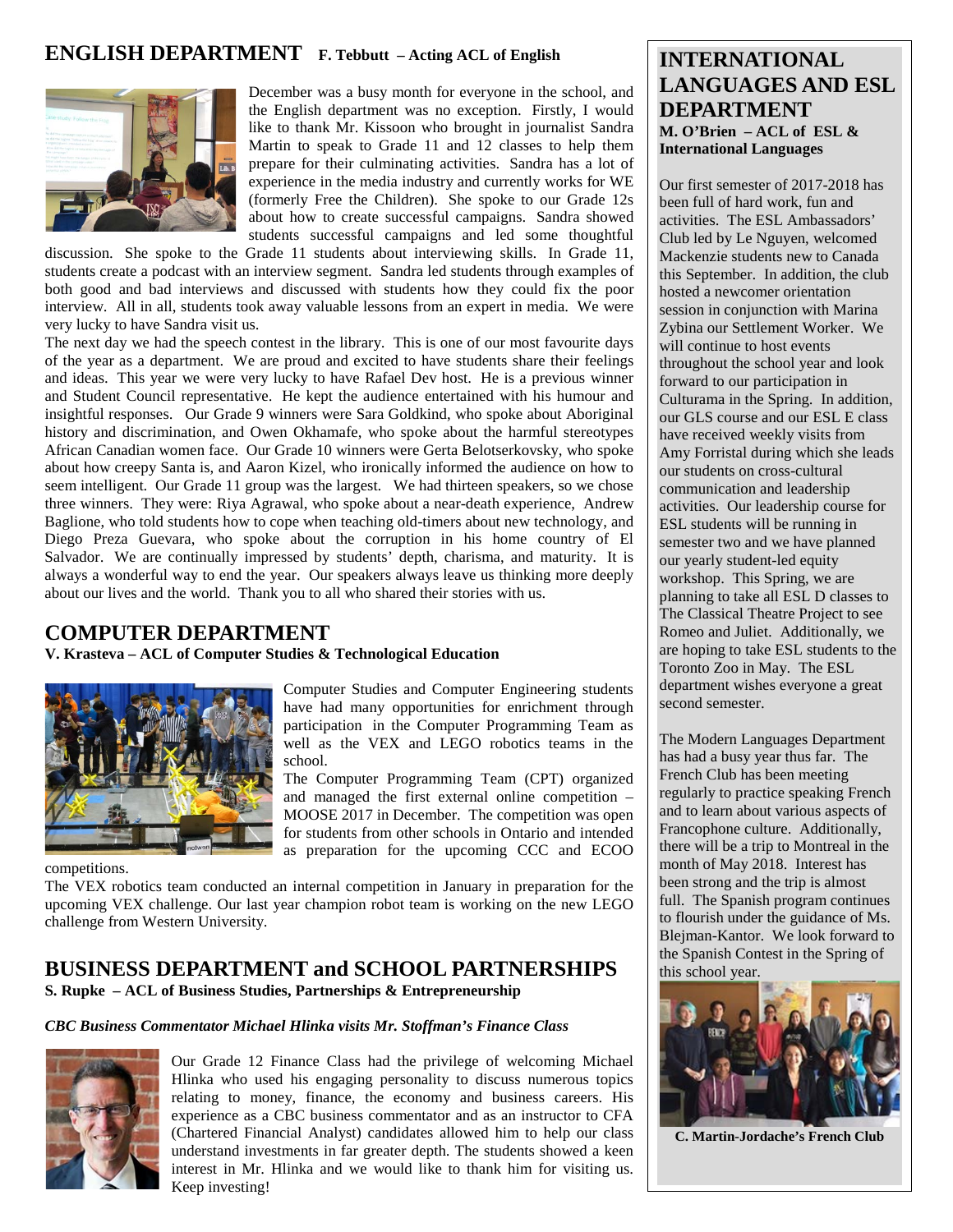## **ENGLISH DEPARTMENT F. Tebbutt – Acting ACL of English**



December was a busy month for everyone in the school, and the English department was no exception. Firstly, I would like to thank Mr. Kissoon who brought in journalist Sandra Martin to speak to Grade 11 and 12 classes to help them prepare for their culminating activities. Sandra has a lot of experience in the media industry and currently works for WE (formerly Free the Children). She spoke to our Grade 12s about how to create successful campaigns. Sandra showed students successful campaigns and led some thoughtful

discussion. She spoke to the Grade 11 students about interviewing skills. In Grade 11, students create a podcast with an interview segment. Sandra led students through examples of both good and bad interviews and discussed with students how they could fix the poor interview. All in all, students took away valuable lessons from an expert in media. We were very lucky to have Sandra visit us.

The next day we had the speech contest in the library. This is one of our most favourite days of the year as a department. We are proud and excited to have students share their feelings and ideas. This year we were very lucky to have Rafael Dev host. He is a previous winner and Student Council representative. He kept the audience entertained with his humour and insightful responses. Our Grade 9 winners were Sara Goldkind, who spoke about Aboriginal history and discrimination, and Owen Okhamafe, who spoke about the harmful stereotypes African Canadian women face. Our Grade 10 winners were Gerta Belotserkovsky, who spoke about how creepy Santa is, and Aaron Kizel, who ironically informed the audience on how to seem intelligent. Our Grade 11 group was the largest. We had thirteen speakers, so we chose three winners. They were: Riya Agrawal, who spoke about a near-death experience, Andrew Baglione, who told students how to cope when teaching old-timers about new technology, and Diego Preza Guevara, who spoke about the corruption in his home country of El Salvador. We are continually impressed by students' depth, charisma, and maturity. It is always a wonderful way to end the year. Our speakers always leave us thinking more deeply about our lives and the world. Thank you to all who shared their stories with us.

### **COMPUTER DEPARTMENT**

**V. Krasteva – ACL of Computer Studies & Technological Education**



Computer Studies and Computer Engineering students have had many opportunities for enrichment through participation in the Computer Programming Team as well as the VEX and LEGO robotics teams in the school.

The Computer Programming Team (CPT) organized and managed the first external online competition – MOOSE 2017 in December. The competition was open for students from other schools in Ontario and intended as preparation for the upcoming CCC and ECOO

competitions.

The VEX robotics team conducted an internal competition in January in preparation for the upcoming VEX challenge. Our last year champion robot team is working on the new LEGO challenge from Western University.

#### **BUSINESS DEPARTMENT and SCHOOL PARTNERSHIPS S. Rupke – ACL of Business Studies, Partnerships & Entrepreneurship**

#### *CBC Business Commentator Michael Hlinka visits Mr. Stoffman's Finance Class*



Our Grade 12 Finance Class had the privilege of welcoming Michael Hlinka who used his engaging personality to discuss numerous topics relating to money, finance, the economy and business careers. His experience as a CBC business commentator and as an instructor to CFA (Chartered Financial Analyst) candidates allowed him to help our class understand investments in far greater depth. The students showed a keen interest in Mr. Hlinka and we would like to thank him for visiting us. Keep investing!

## **INTERNATIONAL LANGUAGES AND ESL DEPARTMENT M. O'Brien – ACL of ESL & International Languages**

Our first semester of 2017-2018 has been full of hard work, fun and activities. The ESL Ambassadors' Club led by Le Nguyen, welcomed Mackenzie students new to Canada this September. In addition, the club hosted a newcomer orientation session in conjunction with Marina Zybina our Settlement Worker. We will continue to host events throughout the school year and look forward to our participation in Culturama in the Spring. In addition, our GLS course and our ESL E class have received weekly visits from Amy Forristal during which she leads our students on cross-cultural communication and leadership activities. Our leadership course for ESL students will be running in semester two and we have planned our yearly student-led equity workshop. This Spring, we are planning to take all ESL D classes to The Classical Theatre Project to see Romeo and Juliet. Additionally, we are hoping to take ESL students to the Toronto Zoo in May. The ESL department wishes everyone a great second semester.

The Modern Languages Department has had a busy year thus far. The French Club has been meeting regularly to practice speaking French and to learn about various aspects of Francophone culture. Additionally, there will be a trip to Montreal in the month of May 2018. Interest has been strong and the trip is almost full. The Spanish program continues to flourish under the guidance of Ms. Blejman-Kantor. We look forward to the Spanish Contest in the Spring of this school year.



**C. Martin-Jordache's French Club**